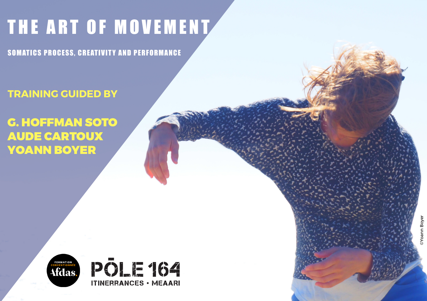# THE ART OF MOVEMENT

SOMATICS PROCESS, CREATIVITY AND PERFORMANCE

**TRAINING GUIDED BY**

## G. HOFFMAN SOTO AUDE CARTOUX YOANN BOYER